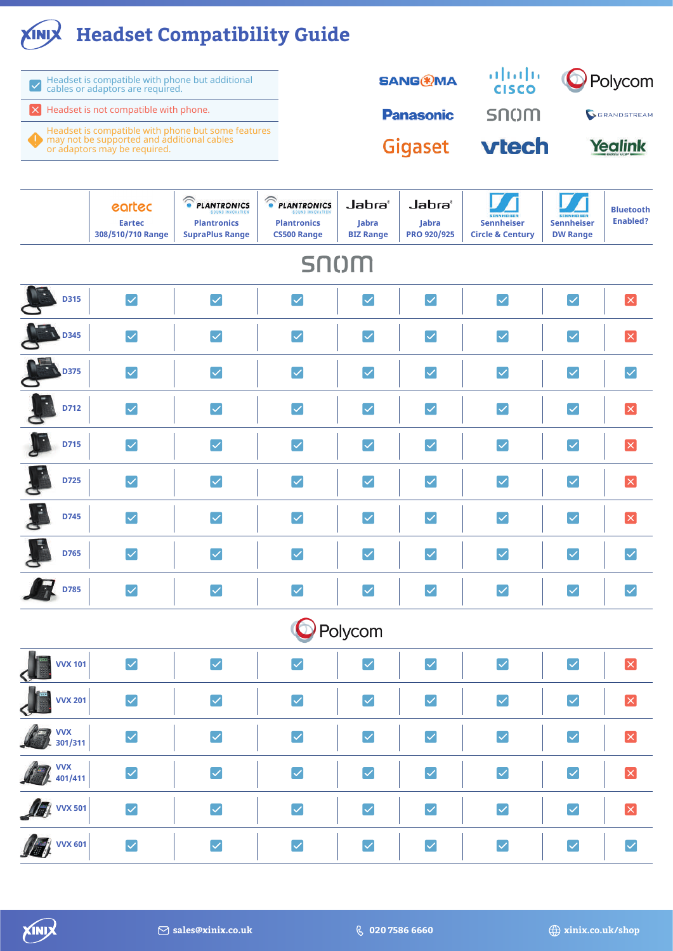## **Headset Compatibility Guide**

| $\blacktriangleright$ | Headset is compatible with phone but additional<br>cables or adaptors are required.                                              |                                                                      |                                                                  |                                                | <b>SANG®MA</b>                        | altalte –<br><b>CISCO</b>                        |                                      | Polycom                             |
|-----------------------|----------------------------------------------------------------------------------------------------------------------------------|----------------------------------------------------------------------|------------------------------------------------------------------|------------------------------------------------|---------------------------------------|--------------------------------------------------|--------------------------------------|-------------------------------------|
| $\mathbf{x}$          | Headset is not compatible with phone.                                                                                            |                                                                      |                                                                  | <b>Panasonic</b>                               |                                       | snom                                             |                                      | GRANDSTREAM                         |
|                       | Headset is compatible with phone but some features<br>may not be supported and additional cables<br>or adaptors may be required. |                                                                      |                                                                  |                                                | Gigaset                               | <b>vtech</b>                                     |                                      | <b>Yealink</b>                      |
|                       | eartec<br><b>Eartec</b><br>308/510/710 Range                                                                                     | <b>C</b> PLANTRONICS<br><b>Plantronics</b><br><b>SupraPlus Range</b> | <b>C</b> PLANTRONICS<br><b>Plantronics</b><br><b>CS500 Range</b> | Jabra'<br>Jabra<br><b>BIZ Range</b>            | Jabra®<br>Jabra<br><b>PRO 920/925</b> | <b>Sennheiser</b><br><b>Circle &amp; Century</b> | <b>Sennheiser</b><br><b>DW Range</b> | <b>Bluetooth</b><br><b>Enabled?</b> |
|                       |                                                                                                                                  |                                                                      | snom                                                             |                                                |                                       |                                                  |                                      |                                     |
| <b>D315</b>           | $\vert\mathcal{\mathcal{\mathcal{L}}}\vert$                                                                                      | $\blacktriangledown$                                                 | $\vert\checkmark\vert$                                           | $\vert\mathcal{\mathcal{\mathcal{L}}}\vert$    | $\vert\checkmark\vert$                | $\blacktriangledown$                             | $\blacktriangledown$                 | $ \boldsymbol{\mathsf{x}} $         |
| <b>D345</b>           | $\blacktriangledown$                                                                                                             | $\checkmark$                                                         | $\checkmark$                                                     | $\vert \checkmark \vert$                       | $\blacktriangledown$                  | $\checkmark$                                     | $\checkmark$                         | $\times$                            |
| <b>D375</b>           | $\blacktriangledown$                                                                                                             | $\checkmark$                                                         | $\blacktriangledown$                                             | $\vert\checkmark\vert$                         | $\checkmark$                          | $\blacktriangledown$                             | $\blacktriangledown$                 | $\checkmark$                        |
| D712                  | $\checkmark$                                                                                                                     | $\checkmark$                                                         | $\checkmark$                                                     | $\blacktriangledown$                           | $\blacktriangledown$                  | $\checkmark$                                     | $\checkmark$                         | $\times$                            |
| D715                  | $\blacktriangledown$                                                                                                             | $\checkmark$                                                         | $\blacktriangledown$                                             | $\blacktriangledown$                           | $\blacktriangledown$                  | $\blacktriangledown$                             | $\checkmark$                         | $\times$                            |
| D725                  | $\blacktriangledown$                                                                                                             | $\checkmark$                                                         | $\vert \checkmark \vert$                                         | $ \mathcal{S} $                                | $\blacktriangledown$                  | $\checkmark$                                     | $\checkmark$                         | $\times$                            |
| D745                  | $\blacktriangledown$                                                                                                             | $\checkmark$                                                         | $\vert\checkmark\vert$                                           | $\vert\mathcal{\color{green}\checkmark} \vert$ | $\vert\checkmark\vert$                | $\blacktriangledown$                             | $\blacktriangledown$                 | $\mathsf{\times}$                   |
| D765                  | $\blacktriangledown$                                                                                                             | $\vert \checkmark$                                                   | $\vert\checkmark\vert$                                           | $\boldsymbol{ \mathcal{q} }$                   | $\blacktriangledown$                  | $\blacktriangledown$                             | $\blacktriangledown$                 | $\blacktriangledown$                |
| D785                  | $\checkmark$                                                                                                                     | $\checkmark$                                                         | $\checkmark$                                                     | $\vert \checkmark \vert$                       | $\blacktriangledown$                  | $\overline{\checkmark}$                          | $\checkmark$                         | $\blacktriangledown$                |

Polycom

| $\mathbf{J}_\mathbf{S}$<br><b>VVX 101</b>                                                                                                                                                                                                                                                                                          | $\vert\checkmark\vert$ | ∨ | $\blacktriangledown$ | $\vert\checkmark\vert$ | $\blacktriangledown$   | $\vert\mathbf{v}\vert$                          | $\vert\checkmark\vert$                                                                                                                                                                                                                                                                                                                                                                                                                                                                  | $\mathsf{X}$                                                                            |
|------------------------------------------------------------------------------------------------------------------------------------------------------------------------------------------------------------------------------------------------------------------------------------------------------------------------------------|------------------------|---|----------------------|------------------------|------------------------|-------------------------------------------------|-----------------------------------------------------------------------------------------------------------------------------------------------------------------------------------------------------------------------------------------------------------------------------------------------------------------------------------------------------------------------------------------------------------------------------------------------------------------------------------------|-----------------------------------------------------------------------------------------|
| <b>VVX 201</b>                                                                                                                                                                                                                                                                                                                     | $\blacktriangledown$   | ✓ | $\boxed{\checkmark}$ | $\vert\checkmark\vert$ | $\blacktriangledown$   | $\blacktriangleright$                           | $\blacktriangledown$                                                                                                                                                                                                                                                                                                                                                                                                                                                                    | $\mathsf{X}% _{0}\left( \mathsf{X}\right) \equiv\mathsf{X}_{0}\left( \mathsf{X}\right)$ |
| $\mathbb{Z}$ vvx                                                                                                                                                                                                                                                                                                                   | ✓                      | ∨ | $\boxed{\checkmark}$ | $\vert\checkmark\vert$ | $\vert\checkmark\vert$ | $\vert\checkmark\vert$                          | $\vert\checkmark\vert$                                                                                                                                                                                                                                                                                                                                                                                                                                                                  | <b>X</b>                                                                                |
| $\mathbb{Z}$ $\mathbb{Z}$ $\mathbb{Z}$ $\mathbb{Z}$ $\mathbb{Z}$ $\mathbb{Z}$ $\mathbb{Z}$ $\mathbb{Z}$ $\mathbb{Z}$ $\mathbb{Z}$ $\mathbb{Z}$ $\mathbb{Z}$ $\mathbb{Z}$ $\mathbb{Z}$ $\mathbb{Z}$ $\mathbb{Z}$ $\mathbb{Z}$ $\mathbb{Z}$ $\mathbb{Z}$ $\mathbb{Z}$ $\mathbb{Z}$ $\mathbb{Z}$ $\mathbb{Z}$ $\mathbb{Z}$ $\mathbb{$ | ∨                      |   | $\blacktriangledown$ | $\blacktriangleright$  | $\vert\checkmark\vert$ | $\boldsymbol{ \mathcal{\mathcal{\mathcal{L}}}}$ | ∇                                                                                                                                                                                                                                                                                                                                                                                                                                                                                       | $\mathsf{X}% _{0}\left( t\right) \equiv\mathsf{X}_{0}\left( t\right)$                   |
| <b>A</b> VVX 501                                                                                                                                                                                                                                                                                                                   |                        | ∨ | $\blacktriangledown$ | $\vert\mathbf{v}\vert$ | $\vert\checkmark\vert$ | $\blacktriangledown$                            | $\vert\!\!\!\!\vee\!\!\!\!\!\cdot\;\!\!\!\!\cdot\;\!\!\!\!\cdot\;\!\!\!\!\cdot\;\!\!\!\!\cdot\;\!\!\!\!\cdot\;\!\!\!\!\cdot\;\!\!\!\!\cdot\;\!\!\!\!\cdot\;\!\!\!\!\cdot\;\!\!\!\!\cdot\;\!\!\!\!\cdot\;\!\!\!\!\cdot\;\!\!\!\!\cdot\;\!\!\!\!\cdot\;\!\!\!\!\cdot\;\!\!\!\!\cdot\;\!\!\!\!\cdot\;\!\!\!\!\cdot\;\!\!\!\!\cdot\;\!\!\!\!\cdot\;\!\!\!\!\cdot\;\!\!\!\!\cdot\;\!\!\!\!\cdot\;\!\!\!\!\cdot\;\!\!\!\!\!\cdot\;\!\!\!\!\cdot\;\!\!\!\!\cdot\;\!\!\!\!\cdot\;\!\!\!\!\cdot$ | $\mathsf{I}\times$                                                                      |
| <b>DE VVX 601</b>                                                                                                                                                                                                                                                                                                                  | ∨                      | ∨ | $\boxed{\checkmark}$ | $\vert\checkmark\vert$ | $\blacktriangleright$  | $\vert\checkmark\vert$                          | $\vert\checkmark\vert$                                                                                                                                                                                                                                                                                                                                                                                                                                                                  | $\blacktriangledown$                                                                    |

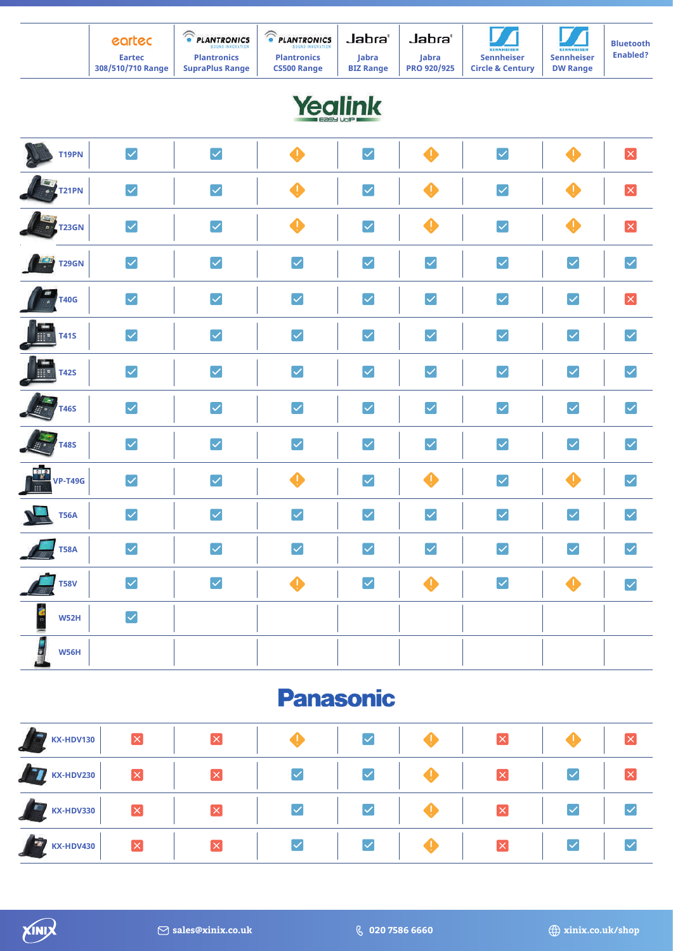## Yealink

| <b>T19PN</b>                        | $\blacktriangledown$ | $\blacktriangledown$  | $\clubsuit$          | $\blacktriangledown$  | $\clubsuit$           | $\blacktriangledown$ | $\bullet$             | $\mathbf{x}$          |
|-------------------------------------|----------------------|-----------------------|----------------------|-----------------------|-----------------------|----------------------|-----------------------|-----------------------|
| <b>ANTISTIS</b>                     | $\blacktriangledown$ | $\blacktriangledown$  | $\bf \Phi$           | $\blacktriangledown$  | $\clubsuit$           | $\blacktriangledown$ | $\bullet$             | ×                     |
| <b>TENTRES</b>                      | $\blacktriangledown$ | $\blacktriangledown$  | $\clubsuit$          | $\blacktriangledown$  | $\clubsuit$           | $\blacktriangledown$ | $\clubsuit$           | $\mathbf{x}$          |
| <b>THE TREAD</b>                    | $\blacktriangledown$ | $\blacktriangledown$  | $\blacktriangledown$ | $\blacktriangledown$  | $\blacktriangledown$  | $\blacktriangledown$ | $\blacktriangledown$  | $\blacktriangledown$  |
| $\frac{1}{a}$ T40G                  | $\blacktriangledown$ | $\blacktriangledown$  | $\blacktriangledown$ | $\blacktriangledown$  | $\blacktriangleright$ | $\blacktriangledown$ | $\blacktriangledown$  | $\mathbf{x}$          |
| F<br><b>T41S</b>                    | $\blacktriangledown$ | $\blacktriangleright$ | $\blacktriangledown$ | $\blacktriangledown$  | $\blacktriangledown$  | $\blacktriangledown$ | $\blacktriangledown$  | $\blacktriangleright$ |
| F<br><b>T42S</b>                    | $\blacktriangledown$ | $\blacktriangledown$  | $\blacktriangledown$ | $\blacktriangledown$  | $\blacktriangledown$  | $\blacktriangledown$ | $\blacktriangledown$  | $\blacktriangledown$  |
| <b>ALLES</b>                        | $\blacktriangledown$ | $\blacktriangledown$  | $\blacktriangledown$ | $\blacktriangledown$  | $\blacktriangledown$  | $\blacktriangledown$ | $\blacktriangledown$  | $\blacktriangledown$  |
| $\frac{1}{\sqrt{2}}$<br><b>T48S</b> | $\blacktriangledown$ | $\blacktriangledown$  | $\blacktriangledown$ | $\blacktriangleright$ | $\blacktriangledown$  | $\blacktriangledown$ | $\blacktriangleright$ | $\blacktriangledown$  |
| <b>ENER</b><br>WP-T49G              | $\blacktriangledown$ | $\blacktriangledown$  | $\clubsuit$          | $\blacktriangledown$  | $\clubsuit$           | $\blacktriangledown$ | $\clubsuit$           | $\blacktriangledown$  |
| <u>N – </u><br><b>T56A</b>          | $\blacktriangledown$ | $\blacktriangledown$  | $\blacktriangledown$ | $\blacktriangledown$  | $\blacktriangledown$  | $\blacktriangledown$ | $\blacktriangledown$  | $\blacktriangledown$  |
| <b>T58A</b>                         | $\blacktriangledown$ | $\blacktriangleright$ | $\blacktriangledown$ | $\blacktriangledown$  | $\blacktriangleright$ | $\blacktriangledown$ | $\blacktriangledown$  | $\blacktriangledown$  |
| <b>T58V</b>                         | $\blacktriangledown$ | $\blacktriangledown$  | $\clubsuit$          | $\blacktriangledown$  | $\clubsuit$           | $\blacktriangledown$ | $\clubsuit$           | $\blacktriangledown$  |
| <b>September</b><br>W52H            | $\blacktriangledown$ |                       |                      |                       |                       |                      |                       |                       |
| ■ ○ ■<br><b>W56H</b>                |                      |                       |                      |                       |                       |                      |                       |                       |

### **Panasonic**

| KX-HDV130 | $\overline{\mathsf{x}}$ |                        | $\blacktriangledown$ | $ \times $                            |                        |                      |
|-----------|-------------------------|------------------------|----------------------|---------------------------------------|------------------------|----------------------|
| KX-HDV230 | $\mathbf{\overline{X}}$ | $\vert\checkmark\vert$ | $\blacktriangledown$ | $\vert x \vert$                       | $\blacktriangledown$   |                      |
| KX-HDV330 | $\mathbf{\overline{X}}$ | $\blacktriangledown$   | $\blacktriangledown$ | $\mathbf{x}$                          | $\blacktriangledown$   | $\blacktriangledown$ |
| KX-HDV430 | ×                       |                        | $\blacktriangledown$ | $\vert \boldsymbol{\mathsf{x}} \vert$ | $\vert\downarrow\vert$ |                      |



J.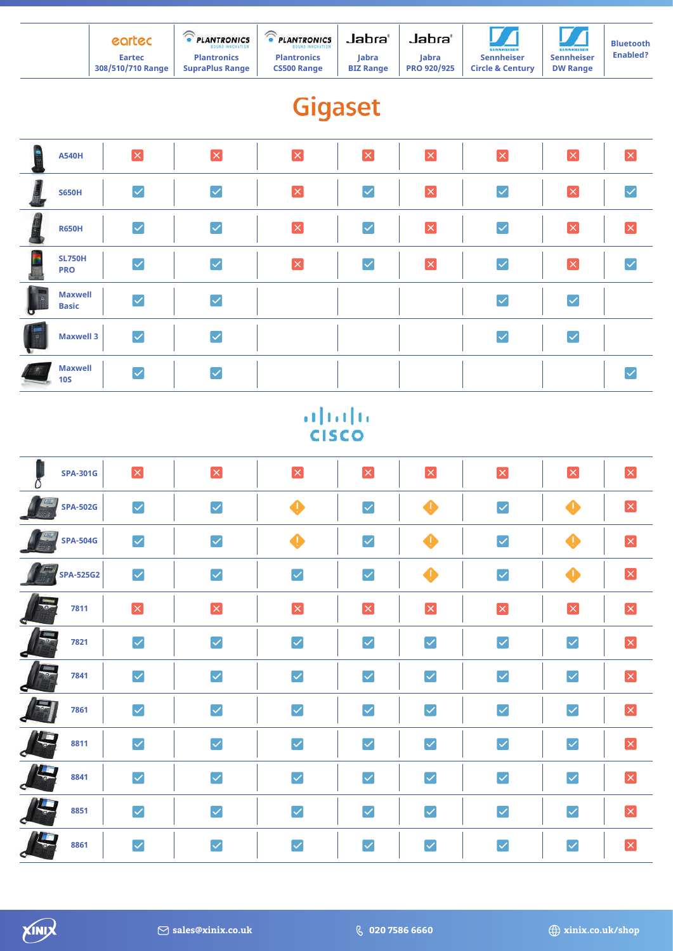| earted            | <b>PLANTRONICS</b><br><b>SOUND INNOVATION</b> | $\sim$<br><b>PLANTRONICS</b><br><b>SOUND INNOVATION</b> | Jabra'           | Jabra'             | <b>SENNHEISER</b>           | <b>SENNHEISER</b> | <b>Bluetooth</b> |
|-------------------|-----------------------------------------------|---------------------------------------------------------|------------------|--------------------|-----------------------------|-------------------|------------------|
| <b>Eartec</b>     | <b>Plantronics</b>                            | <b>Plantronics</b>                                      | <b>labra</b>     | labra              | <b>Sennheiser</b>           | <b>Sennheiser</b> | <b>Enabled?</b>  |
| 308/510/710 Range | <b>SupraPlus Range</b>                        | <b>CS500 Range</b>                                      | <b>BIZ Range</b> | <b>PRO 920/925</b> | <b>Circle &amp; Century</b> | <b>DW Range</b>   |                  |

# Gigaset

|   | <b>A540H</b>                   | $\boxed{\mathsf{x}}$ | $\overline{\mathsf{x}}$ | $\overline{\mathsf{x}}$ | $\mathbf x$                                 | $\boxed{\times}$     | $\mathbf{\overline{X}}$ | $\mathbf{x}$            | $ \times $           |
|---|--------------------------------|----------------------|-------------------------|-------------------------|---------------------------------------------|----------------------|-------------------------|-------------------------|----------------------|
|   | <b>S650H</b>                   | $\blacktriangledown$ | $\blacktriangledown$    | $\vert x \vert$         | $\vert\mathcal{\mathcal{\mathcal{L}}}\vert$ | $\vert x \vert$      | $\blacktriangledown$    | $\overline{\mathsf{x}}$ | $\blacktriangledown$ |
|   | <b>R650H</b>                   | $\blacktriangledown$ | $\overline{\checkmark}$ | $\vert x \vert$         | $\blacktriangleright$                       | $\boxed{\mathsf{x}}$ | $\blacktriangledown$    | $\mathbf{x}$            | $ \times $           |
| E | <b>SL750H</b><br><b>PRO</b>    | $\blacktriangledown$ | $\blacktriangledown$    | $\overline{\mathsf{x}}$ | $\vert\checkmark\vert$                      | $\boxed{\mathsf{x}}$ | V                       | $\mathbf x$             |                      |
| σ | <b>Maxwell</b><br><b>Basic</b> | $\blacktriangledown$ | $\blacktriangledown$    |                         |                                             |                      | $\blacktriangledown$    | $\blacktriangledown$    |                      |
| U | <b>Maxwell 3</b>               | $\blacktriangledown$ | $\blacktriangledown$    |                         |                                             |                      | $\overline{\checkmark}$ | $[\checkmark]$          |                      |
|   | <b>Maxwell</b><br><b>10S</b>   | $\blacktriangledown$ |                         |                         |                                             |                      |                         |                         |                      |

# $\frac{d\ln\ln}{d}$

|            | <b>SPA-301G</b> | $\mathbf{x}$          | $\mathbf{x}$          | ×                     | $\mathbf{x}$                 | $\mathbf{x}$          | ×                     | $\mathbf{x}$         | $\mathbf{\overline{x}}$ |
|------------|-----------------|-----------------------|-----------------------|-----------------------|------------------------------|-----------------------|-----------------------|----------------------|-------------------------|
|            | <b>SPA-502G</b> | $\blacktriangleright$ | $\blacktriangleright$ | $\bf \Phi$            | $\blacktriangledown$         | $\clubsuit$           | $\blacktriangledown$  | $\bullet$            | $\boxed{\mathsf{x}}$    |
|            | <b>SPA-504G</b> | $\blacktriangleright$ | $\blacktriangledown$  | $\bullet$             | $\blacktriangleright$        | $\clubsuit$           | $\blacktriangledown$  | $\bigoplus$          | $\vert x \vert$         |
|            | SPA-525G2       | $\blacktriangleright$ | $\blacktriangledown$  | $\blacktriangledown$  | $\blacktriangledown$         | $\clubsuit$           | $\blacktriangleright$ | $\clubsuit$          | $\mathbf{x}$            |
|            | 7811            | $\mathbf{x}$          | $\vert x \vert$       | $\mathbf{x}$          | $\mathbf{\overline{X}}$      | $\vert x \vert$       | $\mathbf{x}$          | $\vert x \vert$      | $\vert x \vert$         |
|            | 7821            | $\blacktriangleright$ | $\blacktriangledown$  | $\blacktriangledown$  | $\blacktriangledown$         | $\blacktriangledown$  | $\blacktriangledown$  | $\blacktriangledown$ | $\vert x \vert$         |
|            | 7841            | $\blacktriangleright$ | $\blacktriangledown$  | $\blacktriangledown$  | $\blacktriangledown$         | $\blacktriangleright$ | $\blacktriangledown$  | $\blacktriangledown$ | $\mathbf{\overline{X}}$ |
|            | 7861            | $\blacktriangleright$ | $\blacktriangledown$  | $\blacktriangledown$  | $\blacktriangledown$         | $\blacktriangleright$ | $\blacktriangledown$  | $\blacktriangledown$ | $\mathbf{x}$            |
| $\sqrt{1}$ | 8811            | $\blacktriangleright$ | $\blacktriangledown$  | $\blacktriangleright$ | $\blacktriangledown$         | $\blacktriangledown$  | $\blacktriangledown$  | $\blacktriangledown$ | $\vert x \vert$         |
|            | 8841            | $\blacktriangleright$ | $\blacktriangledown$  | $\blacktriangleright$ | $\blacktriangledown$         | $\blacktriangledown$  | $\blacktriangledown$  | $\blacktriangledown$ | $\vert x \vert$         |
|            | 8851            | $\blacktriangledown$  | $\boxed{\checkmark}$  | $\blacktriangleright$ | $\blacktriangledown$         | $\blacktriangledown$  | $\blacktriangledown$  | $\blacktriangledown$ | $\mathbf{\overline{X}}$ |
|            | 8861            | $\blacktriangledown$  | $\blacktriangledown$  | $\blacktriangledown$  | $\boldsymbol{\triangledown}$ | $\blacktriangledown$  | $\blacktriangledown$  | $\blacktriangledown$ | $\boxed{\mathsf{x}}$    |